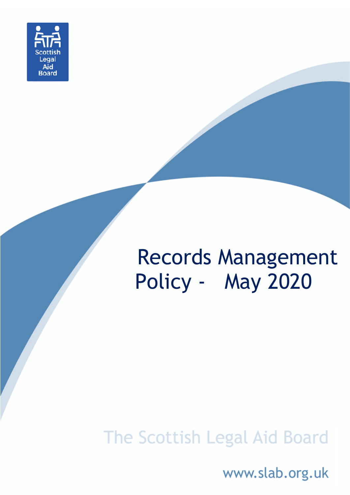

# Records Management Policy - May 2020

## The Scottish Legal Aid Board

www.slab.org.uk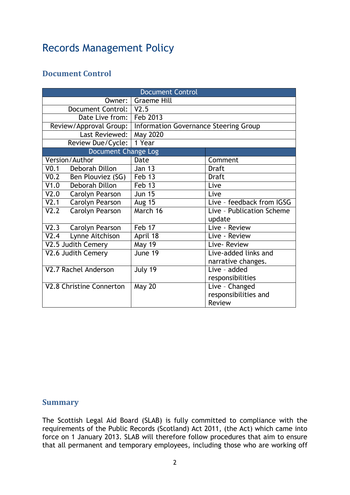### Records Management Policy

#### **Document Control**

| <b>Document Control</b>               |                                                                |                           |
|---------------------------------------|----------------------------------------------------------------|---------------------------|
| Owner: I                              | <b>Graeme Hill</b>                                             |                           |
| Document Control:   V2.5              |                                                                |                           |
| Date Live from:   Feb 2013            |                                                                |                           |
|                                       | Review/Approval Group:   Information Governance Steering Group |                           |
| Last Reviewed:                        | May 2020                                                       |                           |
| Review Due/Cycle:                     | 1 Year                                                         |                           |
| Document Change Log                   |                                                                |                           |
| Version/Author                        | Date                                                           | Comment                   |
| Deborah Dillon<br>V0.1                | <b>Jan 13</b>                                                  | <b>Draft</b>              |
| V <sub>0.2</sub><br>Ben Plouviez (SG) | Feb 13                                                         | <b>Draft</b>              |
| Deborah Dillon<br>V1.0                | Feb 13                                                         | Live                      |
| V2.0<br>Carolyn Pearson               | <b>Jun 15</b>                                                  | Live                      |
| V2.1<br>Carolyn Pearson               | <b>Aug 15</b>                                                  | Live - feedback from IGSG |
| V2.2<br>Carolyn Pearson               | March 16                                                       | Live - Publication Scheme |
|                                       |                                                                | update                    |
| V2.3 Carolyn Pearson                  | Feb 17                                                         | Live - Review             |
| V2.4<br>Lynne Aitchison               | April 18                                                       | Live - Review             |
| V2.5 Judith Cemery                    | <b>May 19</b>                                                  | Live-Review               |
| V2.6 Judith Cemery                    | June 19                                                        | Live-added links and      |
|                                       |                                                                | narrative changes.        |
| V2.7 Rachel Anderson                  | July 19                                                        | Live - added              |
|                                       |                                                                | responsibilities          |
| V2.8 Christine Connerton              | <b>May 20</b>                                                  | Live - Changed            |
|                                       |                                                                | responsibilities and      |
|                                       |                                                                | <b>Review</b>             |

#### **Summary**

The Scottish Legal Aid Board (SLAB) is fully committed to compliance with the requirements of the Public Records (Scotland) Act 2011, (the Act) which came into force on 1 January 2013. SLAB will therefore follow procedures that aim to ensure that all permanent and temporary employees, including those who are working off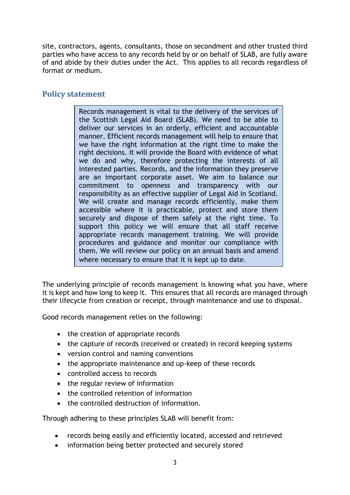site, contractors, agents, consultants, those on secondment and other trusted third parties who have access to any records held by or on behalf of SLAB, are fully aware of and abide by their duties under the Act. This applies to all records regardless of format or medium.

#### **Policy statement**

Records management is vital to the delivery of the services of the Scottish Legal Aid Board (SLAB). We need to be able to deliver our services in an orderly, efficient and accountable manner. Efficient records management will help to ensure that we have the right information at the right time to make the right decisions. It will provide the Board with evidence of what we do and why, therefore protecting the interests of all interested parties. Records, and the information they preserve are an important corporate asset. We aim to balance our commitment to openness and transparency with our responsibility as an effective supplier of Legal Aid in Scotland. We will create and manage records efficiently, make them accessible where it is practicable, protect and store them securely and dispose of them safely at the right time. To support this policy we will ensure that all staff receive appropriate records management training. We will provide procedures and guidance and monitor our compliance with them. We will review our policy on an annual basis and amend where necessary to ensure that it is kept up to date.

The underlying principle of records management is knowing what you have, where it is kept and how long to keep it. This ensures that all records are managed through their lifecycle from creation or receipt, through maintenance and use to disposal.

Good records management relies on the following:

- the creation of appropriate records
- the capture of records (received or created) in record keeping systems
- version control and naming conventions
- the appropriate maintenance and up-keep of these records
- controlled access to records
- the regular review of information
- the controlled retention of information
- the controlled destruction of information.

Through adhering to these principles SLAB will benefit from:

- records being easily and efficiently located, accessed and retrieved
- information being better protected and securely stored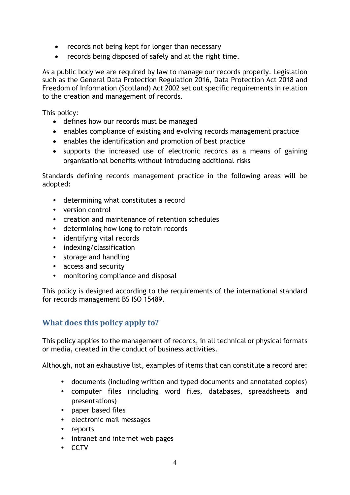- records not being kept for longer than necessary
- records being disposed of safely and at the right time.

As a public body we are required by law to manage our records properly. Legislation such as the General Data Protection Regulation 2016, Data Protection Act 2018 and Freedom of Information (Scotland) Act 2002 set out specific requirements in relation to the creation and management of records.

This policy:

- defines how our records must be managed
- enables compliance of existing and evolving records management practice
- enables the identification and promotion of best practice
- supports the increased use of electronic records as a means of gaining organisational benefits without introducing additional risks

Standards defining records management practice in the following areas will be adopted:

- determining what constitutes a record
- version control
- creation and maintenance of retention schedules
- determining how long to retain records
- identifying vital records
- indexing/classification
- storage and handling
- access and security
- monitoring compliance and disposal

This policy is designed according to the requirements of the international standard for records management BS ISO 15489.

#### **What does this policy apply to?**

This policy applies to the management of records, in all technical or physical formats or media, created in the conduct of business activities.

Although, not an exhaustive list, examples of items that can constitute a record are:

- documents (including written and typed documents and annotated copies)
- computer files (including word files, databases, spreadsheets and presentations)
- paper based files
- electronic mail messages
- reports
- intranet and internet web pages
- CCTV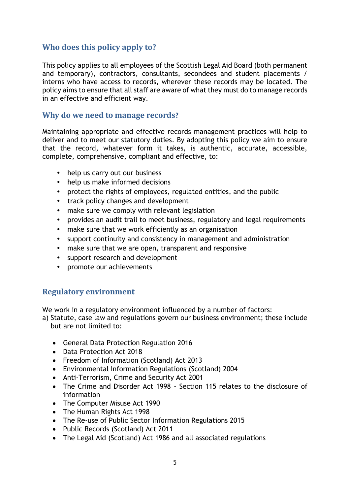#### **Who does this policy apply to?**

This policy applies to all employees of the Scottish Legal Aid Board (both permanent and temporary), contractors, consultants, secondees and student placements / interns who have access to records, wherever these records may be located. The policy aims to ensure that all staff are aware of what they must do to manage records in an effective and efficient way.

#### **Why do we need to manage records?**

Maintaining appropriate and effective records management practices will help to deliver and to meet our statutory duties. By adopting this policy we aim to ensure that the record, whatever form it takes, is authentic, accurate, accessible, complete, comprehensive, compliant and effective, to:

- help us carry out our business
- help us make informed decisions
- protect the rights of employees, regulated entities, and the public
- track policy changes and development
- make sure we comply with relevant legislation
- provides an audit trail to meet business, regulatory and legal requirements
- make sure that we work efficiently as an organisation
- support continuity and consistency in management and administration
- make sure that we are open, transparent and responsive
- support research and development
- promote our achievements

#### **Regulatory environment**

We work in a regulatory environment influenced by a number of factors:

a) Statute, case law and regulations govern our business environment; these include but are not limited to:

- General Data Protection Regulation 2016
- Data Protection Act 2018
- Freedom of Information (Scotland) Act 2013
- Environmental Information Regulations (Scotland) 2004
- Anti-Terrorism, Crime and Security Act 2001
- The Crime and Disorder Act 1998 Section 115 relates to the disclosure of information
- The Computer Misuse Act 1990
- The Human Rights Act 1998
- The Re-use of Public Sector Information Regulations 2015
- Public Records (Scotland) Act 2011
- The Legal Aid (Scotland) Act 1986 and all associated regulations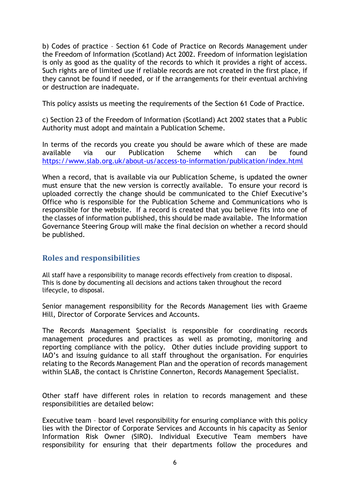b) Codes of practice – Section 61 Code of Practice on Records Management under the Freedom of Information (Scotland) Act 2002. Freedom of information legislation is only as good as the quality of the records to which it provides a right of access. Such rights are of limited use if reliable records are not created in the first place, if they cannot be found if needed, or if the arrangements for their eventual archiving or destruction are inadequate.

This policy assists us meeting the requirements of the Section 61 Code of Practice.

c) Section 23 of the Freedom of Information (Scotland) Act 2002 states that a Public Authority must adopt and maintain a Publication Scheme.

In terms of the records you create you should be aware which of these are made available via our Publication Scheme which can be found <https://www.slab.org.uk/about-us/access-to-information/publication/index.html>

When a record, that is available via our Publication Scheme, is updated the owner must ensure that the new version is correctly available. To ensure your record is uploaded correctly the change should be communicated to the Chief Executive's Office who is responsible for the Publication Scheme and Communications who is responsible for the website. If a record is created that you believe fits into one of the classes of information published, this should be made available. The Information Governance Steering Group will make the final decision on whether a record should be published.

#### **Roles and responsibilities**

All staff have a responsibility to manage records effectively from creation to disposal. This is done by documenting all decisions and actions taken throughout the record lifecycle, to disposal.

Senior management responsibility for the Records Management lies with Graeme Hill, Director of Corporate Services and Accounts.

The Records Management Specialist is responsible for coordinating records management procedures and practices as well as promoting, monitoring and reporting compliance with the policy. Other duties include providing support to IAO's and issuing guidance to all staff throughout the organisation. For enquiries relating to the Records Management Plan and the operation of records management within SLAB, the contact is Christine Connerton, Records Management Specialist.

Other staff have different roles in relation to records management and these responsibilities are detailed below:

Executive team – board level responsibility for ensuring compliance with this policy lies with the Director of Corporate Services and Accounts in his capacity as Senior Information Risk Owner (SIRO). Individual Executive Team members have responsibility for ensuring that their departments follow the procedures and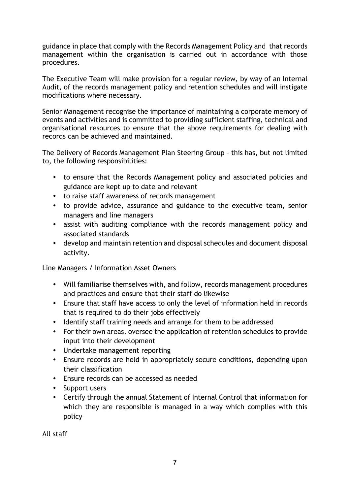guidance in place that comply with the Records Management Policy and that records management within the organisation is carried out in accordance with those procedures.

The Executive Team will make provision for a regular review, by way of an Internal Audit, of the records management policy and retention schedules and will instigate modifications where necessary.

Senior Management recognise the importance of maintaining a corporate memory of events and activities and is committed to providing sufficient staffing, technical and organisational resources to ensure that the above requirements for dealing with records can be achieved and maintained.

The Delivery of Records Management Plan Steering Group – this has, but not limited to, the following responsibilities:

- to ensure that the Records Management policy and associated policies and guidance are kept up to date and relevant
- to raise staff awareness of records management
- to provide advice, assurance and guidance to the executive team, senior managers and line managers
- assist with auditing compliance with the records management policy and associated standards
- develop and maintain retention and disposal schedules and document disposal activity.

Line Managers / Information Asset Owners

- Will familiarise themselves with, and follow, records management procedures and practices and ensure that their staff do likewise
- Ensure that staff have access to only the level of information held in records that is required to do their jobs effectively
- Identify staff training needs and arrange for them to be addressed
- For their own areas, oversee the application of retention schedules to provide input into their development
- Undertake management reporting
- Ensure records are held in appropriately secure conditions, depending upon their classification
- Ensure records can be accessed as needed
- Support users
- Certify through the annual Statement of Internal Control that information for which they are responsible is managed in a way which complies with this policy

All staff